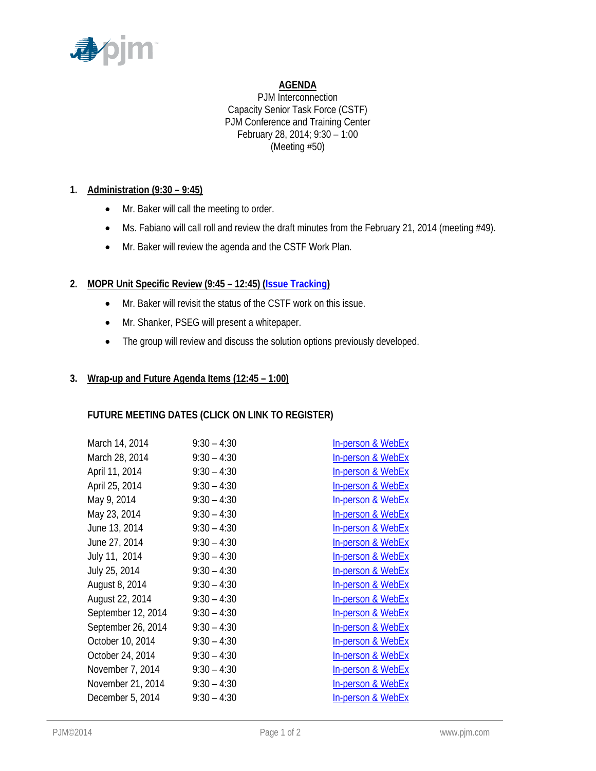

# **AGENDA**

PJM Interconnection Capacity Senior Task Force (CSTF) PJM Conference and Training Center February 28, 2014; 9:30 – 1:00 (Meeting #50)

# **1. Administration (9:30 – 9:45)**

- Mr. Baker will call the meeting to order.
- Ms. Fabiano will call roll and review the draft minutes from the February 21, 2014 (meeting #49).
- Mr. Baker will review the agenda and the CSTF Work Plan.

# **2. MOPR Unit Specific Review (9:45 – 12:45) (Issue Tracking)**

- Mr. Baker will revisit the status of the CSTF work on this issue.
- Mr. Shanker, PSEG will present a whitepaper.
- The group will review and discuss the solution options previously developed.

## **3. Wrap-up and Future Agenda Items (12:45 – 1:00)**

## **FUTURE MEETING DATES (CLICK ON LINK TO REGISTER)**

| March 14, 2014     | $9:30 - 4:30$ | <b>In-person &amp; WebEx</b> |
|--------------------|---------------|------------------------------|
| March 28, 2014     | $9:30 - 4:30$ | <b>In-person &amp; WebEx</b> |
| April 11, 2014     | $9:30 - 4:30$ | <b>In-person &amp; WebEx</b> |
| April 25, 2014     | $9:30 - 4:30$ | <b>In-person &amp; WebEx</b> |
| May 9, 2014        | $9:30 - 4:30$ | <b>In-person &amp; WebEx</b> |
| May 23, 2014       | $9:30 - 4:30$ | In-person & WebEx            |
| June 13, 2014      | $9:30 - 4:30$ | In-person & WebEx            |
| June 27, 2014      | $9:30 - 4:30$ | <b>In-person &amp; WebEx</b> |
| July 11, 2014      | $9:30 - 4:30$ | <b>In-person &amp; WebEx</b> |
| July 25, 2014      | $9:30 - 4:30$ | <b>In-person &amp; WebEx</b> |
| August 8, 2014     | $9:30 - 4:30$ | <b>In-person &amp; WebEx</b> |
| August 22, 2014    | $9:30 - 4:30$ | <b>In-person &amp; WebEx</b> |
| September 12, 2014 | $9:30 - 4:30$ | <b>In-person &amp; WebEx</b> |
| September 26, 2014 | $9:30 - 4:30$ | <b>In-person &amp; WebEx</b> |
| October 10, 2014   | $9:30 - 4:30$ | In-person & WebEx            |
| October 24, 2014   | $9:30 - 4:30$ | In-person & WebEx            |
| November 7, 2014   | $9:30 - 4:30$ | <b>In-person &amp; WebEx</b> |
| November 21, 2014  | $9:30 - 4:30$ | <b>In-person &amp; WebEx</b> |
| December 5, 2014   | $9:30 - 4:30$ | <b>In-person &amp; WebEx</b> |
|                    |               |                              |